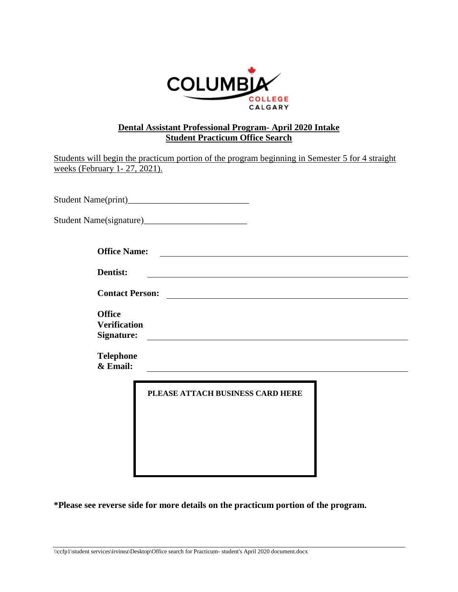

## **Dental Assistant Professional Program- April 2020 Intake Student Practicum Office Search**

| weeks (February 1-27, 2021).                              | Students will begin the practicum portion of the program beginning in Semester 5 for 4 straight                       |
|-----------------------------------------------------------|-----------------------------------------------------------------------------------------------------------------------|
|                                                           |                                                                                                                       |
|                                                           |                                                                                                                       |
| <b>Office Name:</b>                                       | <u> Andreas Andrew Maria (1989)</u>                                                                                   |
| Dentist:                                                  |                                                                                                                       |
| <b>Contact Person:</b>                                    | <u> 1989 - Johann Harry Barn, mars and de Branch and de Branch and de Branch and de Branch and de Branch and de B</u> |
| <b>Office</b><br><b>Verification</b><br><b>Signature:</b> |                                                                                                                       |
| <b>Telephone</b><br>& Email:                              |                                                                                                                       |
|                                                           | PLEASE ATTACH BUSINESS CARD HERE                                                                                      |

**\*Please see reverse side for more details on the practicum portion of the program.**